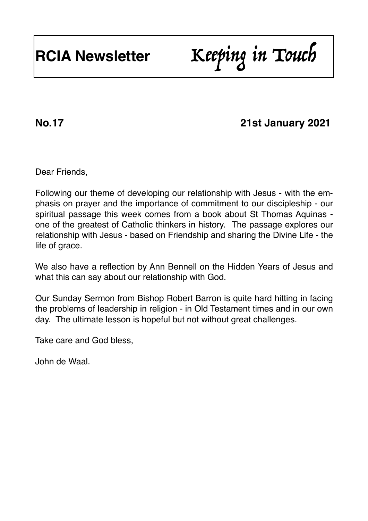# **RCIA Newsletter** Keeping in Touch

# **No.17 21st January 2021**

Dear Friends,

Following our theme of developing our relationship with Jesus - with the emphasis on prayer and the importance of commitment to our discipleship - our spiritual passage this week comes from a book about St Thomas Aquinas one of the greatest of Catholic thinkers in history. The passage explores our relationship with Jesus - based on Friendship and sharing the Divine Life - the life of grace.

We also have a reflection by Ann Bennell on the Hidden Years of Jesus and what this can say about our relationship with God.

Our Sunday Sermon from Bishop Robert Barron is quite hard hitting in facing the problems of leadership in religion - in Old Testament times and in our own day. The ultimate lesson is hopeful but not without great challenges.

Take care and God bless,

John de Waal.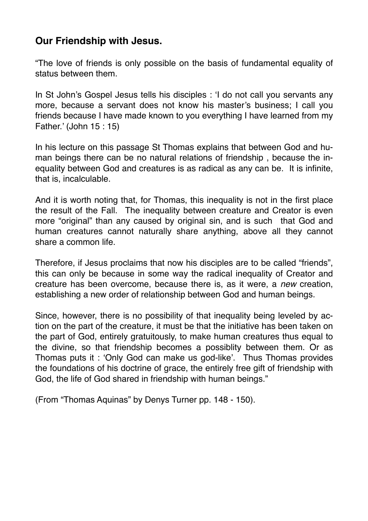## **Our Friendship with Jesus.**

"The love of friends is only possible on the basis of fundamental equality of status between them.

In St John's Gospel Jesus tells his disciples : 'I do not call you servants any more, because a servant does not know his master's business; I call you friends because I have made known to you everything I have learned from my Father.' (John 15 : 15)

In his lecture on this passage St Thomas explains that between God and human beings there can be no natural relations of friendship , because the inequality between God and creatures is as radical as any can be. It is infinite, that is, incalculable.

And it is worth noting that, for Thomas, this inequality is not in the first place the result of the Fall. The inequality between creature and Creator is even more "original" than any caused by original sin, and is such that God and human creatures cannot naturally share anything, above all they cannot share a common life.

Therefore, if Jesus proclaims that now his disciples are to be called "friends", this can only be because in some way the radical inequality of Creator and creature has been overcome, because there is, as it were, a *new* creation, establishing a new order of relationship between God and human beings.

Since, however, there is no possibility of that inequality being leveled by action on the part of the creature, it must be that the initiative has been taken on the part of God, entirely gratuitously, to make human creatures thus equal to the divine, so that friendship becomes a possiblity between them. Or as Thomas puts it : 'Only God can make us god-like'. Thus Thomas provides the foundations of his doctrine of grace, the entirely free gift of friendship with God, the life of God shared in friendship with human beings."

(From "Thomas Aquinas" by Denys Turner pp. 148 - 150).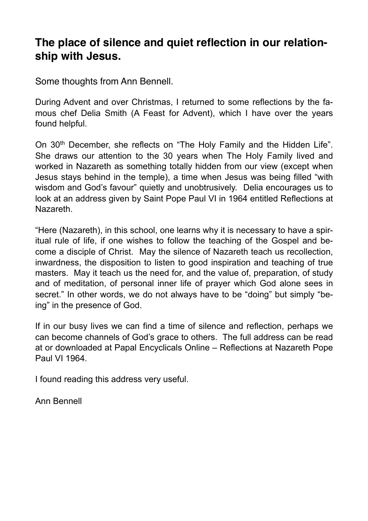## **The place of silence and quiet reflection in our relationship with Jesus.**

Some thoughts from Ann Bennell.

During Advent and over Christmas, I returned to some reflections by the famous chef Delia Smith (A Feast for Advent), which I have over the years found helpful.

On 30th December, she reflects on "The Holy Family and the Hidden Life". She draws our attention to the 30 years when The Holy Family lived and worked in Nazareth as something totally hidden from our view (except when Jesus stays behind in the temple), a time when Jesus was being filled "with wisdom and God's favour" quietly and unobtrusively. Delia encourages us to look at an address given by Saint Pope Paul VI in 1964 entitled Reflections at Nazareth.

"Here (Nazareth), in this school, one learns why it is necessary to have a spiritual rule of life, if one wishes to follow the teaching of the Gospel and become a disciple of Christ. May the silence of Nazareth teach us recollection, inwardness, the disposition to listen to good inspiration and teaching of true masters. May it teach us the need for, and the value of, preparation, of study and of meditation, of personal inner life of prayer which God alone sees in secret." In other words, we do not always have to be "doing" but simply "being" in the presence of God.

If in our busy lives we can find a time of silence and reflection, perhaps we can become channels of God's grace to others. The full address can be read at or downloaded at Papal Encyclicals Online – Reflections at Nazareth Pope Paul VI 1964.

I found reading this address very useful.

Ann Bennell